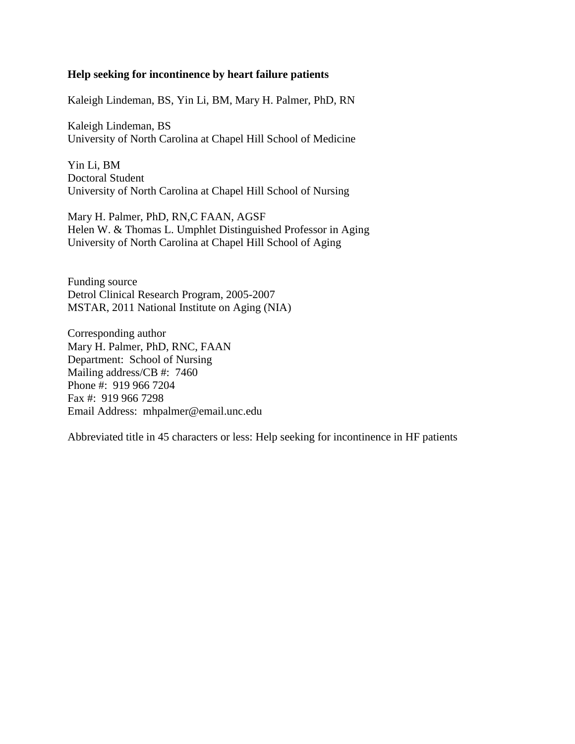# **Help seeking for incontinence by heart failure patients**

Kaleigh Lindeman, BS, Yin Li, BM, Mary H. Palmer, PhD, RN

Kaleigh Lindeman, BS University of North Carolina at Chapel Hill School of Medicine

Yin Li, BM Doctoral Student University of North Carolina at Chapel Hill School of Nursing

Mary H. Palmer, PhD, RN,C FAAN, AGSF Helen W. & Thomas L. Umphlet Distinguished Professor in Aging University of North Carolina at Chapel Hill School of Aging

Funding source Detrol Clinical Research Program, 2005-2007 MSTAR, 2011 National Institute on Aging (NIA)

Corresponding author Mary H. Palmer, PhD, RNC, FAAN Department: School of Nursing Mailing address/CB #: 7460 Phone #: 919 966 7204 Fax #: 919 966 7298 Email Address: mhpalmer@email.unc.edu

Abbreviated title in 45 characters or less: Help seeking for incontinence in HF patients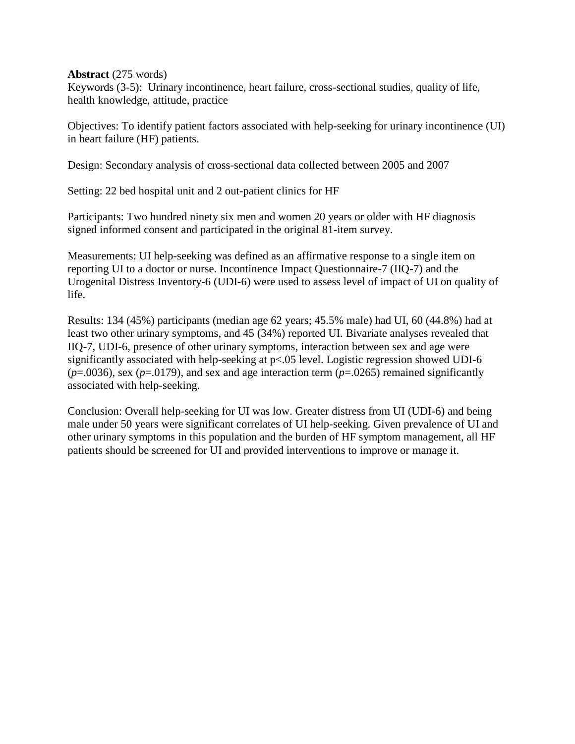# **Abstract** (275 words)

Keywords (3-5): Urinary incontinence, heart failure, cross-sectional studies, quality of life, health knowledge, attitude, practice

Objectives: To identify patient factors associated with help-seeking for urinary incontinence (UI) in heart failure (HF) patients.

Design: Secondary analysis of cross-sectional data collected between 2005 and 2007

Setting: 22 bed hospital unit and 2 out-patient clinics for HF

Participants: Two hundred ninety six men and women 20 years or older with HF diagnosis signed informed consent and participated in the original 81-item survey.

Measurements: UI help-seeking was defined as an affirmative response to a single item on reporting UI to a doctor or nurse. Incontinence Impact Questionnaire-7 (IIQ-7) and the Urogenital Distress Inventory-6 (UDI-6) were used to assess level of impact of UI on quality of life.

Results: 134 (45%) participants (median age 62 years; 45.5% male) had UI, 60 (44.8%) had at least two other urinary symptoms, and 45 (34%) reported UI. Bivariate analyses revealed that IIQ-7, UDI-6, presence of other urinary symptoms, interaction between sex and age were significantly associated with help-seeking at p<.05 level. Logistic regression showed UDI-6  $(p=0.0036)$ , sex  $(p=0.0179)$ , and sex and age interaction term  $(p=0.0265)$  remained significantly associated with help-seeking.

Conclusion: Overall help-seeking for UI was low. Greater distress from UI (UDI-6) and being male under 50 years were significant correlates of UI help-seeking. Given prevalence of UI and other urinary symptoms in this population and the burden of HF symptom management, all HF patients should be screened for UI and provided interventions to improve or manage it.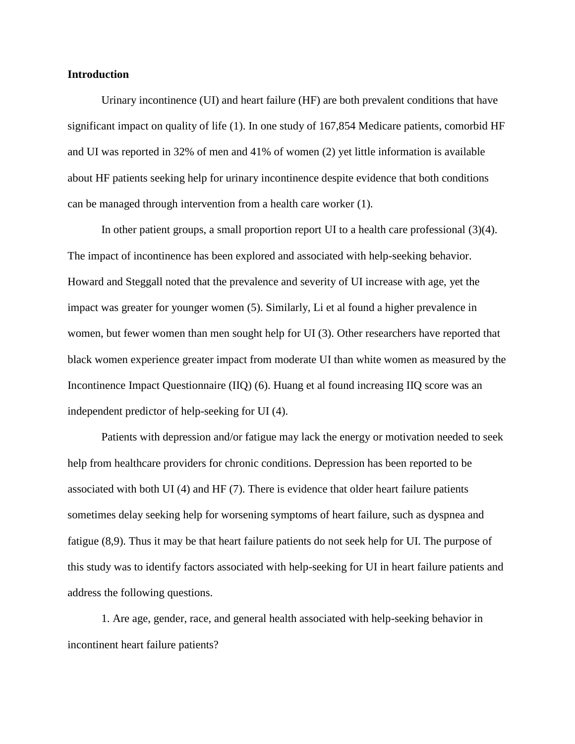## **Introduction**

Urinary incontinence (UI) and heart failure (HF) are both prevalent conditions that have significant impact on quality of life (1). In one study of 167,854 Medicare patients, comorbid HF and UI was reported in 32% of men and 41% of women (2) yet little information is available about HF patients seeking help for urinary incontinence despite evidence that both conditions can be managed through intervention from a health care worker (1).

In other patient groups, a small proportion report UI to a health care professional (3)(4). The impact of incontinence has been explored and associated with help-seeking behavior. Howard and Steggall noted that the prevalence and severity of UI increase with age, yet the impact was greater for younger women (5). Similarly, Li et al found a higher prevalence in women, but fewer women than men sought help for UI (3). Other researchers have reported that black women experience greater impact from moderate UI than white women as measured by the Incontinence Impact Questionnaire (IIQ) (6). Huang et al found increasing IIQ score was an independent predictor of help-seeking for UI (4).

Patients with depression and/or fatigue may lack the energy or motivation needed to seek help from healthcare providers for chronic conditions. Depression has been reported to be associated with both UI (4) and HF (7). There is evidence that older heart failure patients sometimes delay seeking help for worsening symptoms of heart failure, such as dyspnea and fatigue (8,9). Thus it may be that heart failure patients do not seek help for UI. The purpose of this study was to identify factors associated with help-seeking for UI in heart failure patients and address the following questions.

1. Are age, gender, race, and general health associated with help-seeking behavior in incontinent heart failure patients?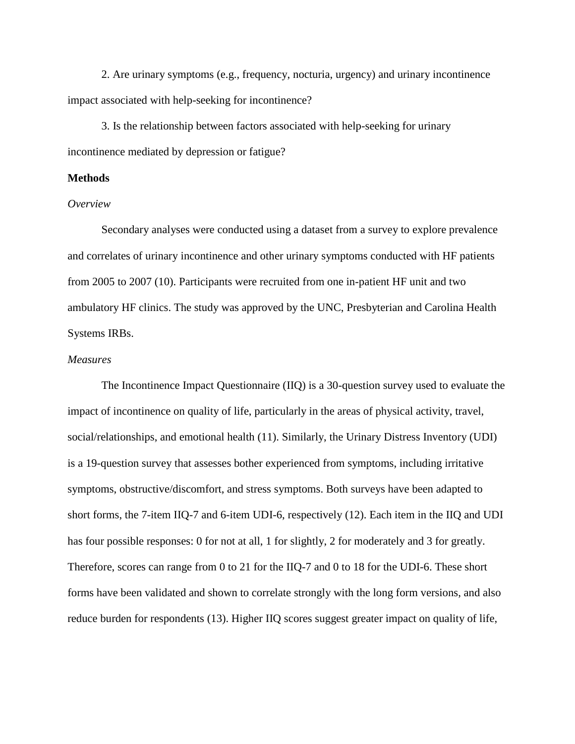2. Are urinary symptoms (e.g., frequency, nocturia, urgency) and urinary incontinence impact associated with help-seeking for incontinence?

3. Is the relationship between factors associated with help-seeking for urinary incontinence mediated by depression or fatigue?

## **Methods**

## *Overview*

Secondary analyses were conducted using a dataset from a survey to explore prevalence and correlates of urinary incontinence and other urinary symptoms conducted with HF patients from 2005 to 2007 (10). Participants were recruited from one in-patient HF unit and two ambulatory HF clinics. The study was approved by the UNC, Presbyterian and Carolina Health Systems IRBs.

# *Measures*

The Incontinence Impact Questionnaire (IIQ) is a 30-question survey used to evaluate the impact of incontinence on quality of life, particularly in the areas of physical activity, travel, social/relationships, and emotional health (11). Similarly, the Urinary Distress Inventory (UDI) is a 19-question survey that assesses bother experienced from symptoms, including irritative symptoms, obstructive/discomfort, and stress symptoms. Both surveys have been adapted to short forms, the 7-item IIQ-7 and 6-item UDI-6, respectively (12). Each item in the IIQ and UDI has four possible responses: 0 for not at all, 1 for slightly, 2 for moderately and 3 for greatly. Therefore, scores can range from 0 to 21 for the IIQ-7 and 0 to 18 for the UDI-6. These short forms have been validated and shown to correlate strongly with the long form versions, and also reduce burden for respondents (13). Higher IIQ scores suggest greater impact on quality of life,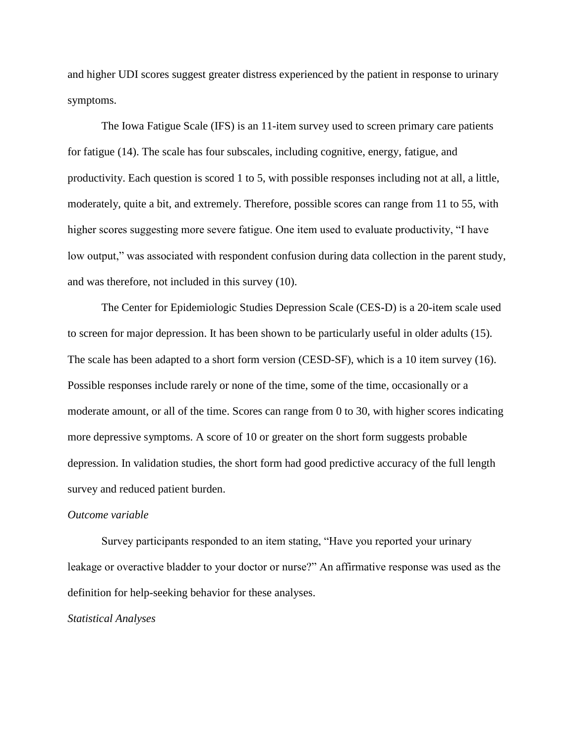and higher UDI scores suggest greater distress experienced by the patient in response to urinary symptoms.

The Iowa Fatigue Scale (IFS) is an 11-item survey used to screen primary care patients for fatigue (14). The scale has four subscales, including cognitive, energy, fatigue, and productivity. Each question is scored 1 to 5, with possible responses including not at all, a little, moderately, quite a bit, and extremely. Therefore, possible scores can range from 11 to 55, with higher scores suggesting more severe fatigue. One item used to evaluate productivity, "I have low output," was associated with respondent confusion during data collection in the parent study, and was therefore, not included in this survey (10).

The Center for Epidemiologic Studies Depression Scale (CES-D) is a 20-item scale used to screen for major depression. It has been shown to be particularly useful in older adults (15). The scale has been adapted to a short form version (CESD-SF), which is a 10 item survey (16). Possible responses include rarely or none of the time, some of the time, occasionally or a moderate amount, or all of the time. Scores can range from 0 to 30, with higher scores indicating more depressive symptoms. A score of 10 or greater on the short form suggests probable depression. In validation studies, the short form had good predictive accuracy of the full length survey and reduced patient burden.

## *Outcome variable*

Survey participants responded to an item stating, "Have you reported your urinary leakage or overactive bladder to your doctor or nurse?" An affirmative response was used as the definition for help-seeking behavior for these analyses.

*Statistical Analyses*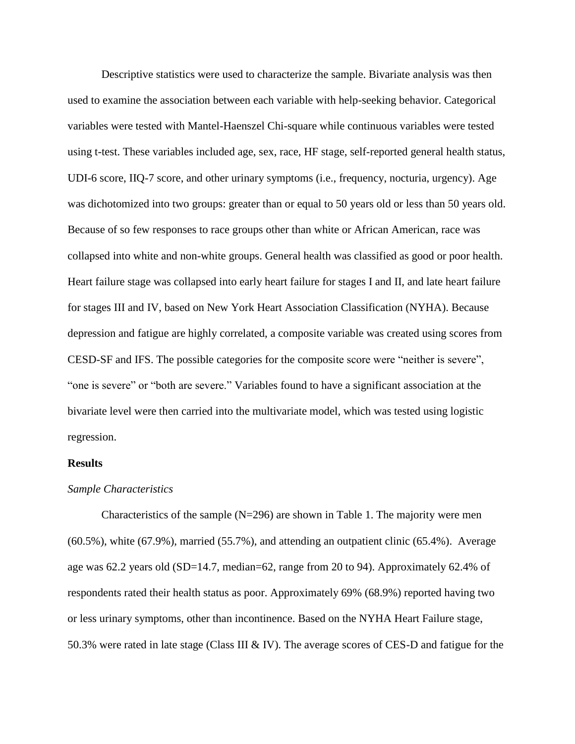Descriptive statistics were used to characterize the sample. Bivariate analysis was then used to examine the association between each variable with help-seeking behavior. Categorical variables were tested with Mantel-Haenszel Chi-square while continuous variables were tested using t-test. These variables included age, sex, race, HF stage, self-reported general health status, UDI-6 score, IIQ-7 score, and other urinary symptoms (i.e., frequency, nocturia, urgency). Age was dichotomized into two groups: greater than or equal to 50 years old or less than 50 years old. Because of so few responses to race groups other than white or African American, race was collapsed into white and non-white groups. General health was classified as good or poor health. Heart failure stage was collapsed into early heart failure for stages I and II, and late heart failure for stages III and IV, based on New York Heart Association Classification (NYHA). Because depression and fatigue are highly correlated, a composite variable was created using scores from CESD-SF and IFS. The possible categories for the composite score were "neither is severe", "one is severe" or "both are severe." Variables found to have a significant association at the bivariate level were then carried into the multivariate model, which was tested using logistic regression.

### **Results**

#### *Sample Characteristics*

Characteristics of the sample  $(N=296)$  are shown in Table 1. The majority were men (60.5%), white (67.9%), married (55.7%), and attending an outpatient clinic (65.4%). Average age was 62.2 years old (SD=14.7, median=62, range from 20 to 94). Approximately 62.4% of respondents rated their health status as poor. Approximately 69% (68.9%) reported having two or less urinary symptoms, other than incontinence. Based on the NYHA Heart Failure stage, 50.3% were rated in late stage (Class III & IV). The average scores of CES-D and fatigue for the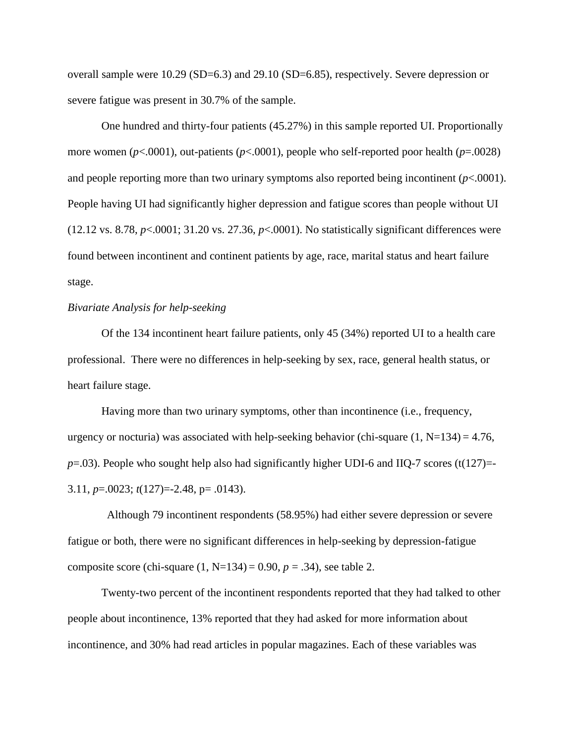overall sample were 10.29 (SD=6.3) and 29.10 (SD=6.85), respectively. Severe depression or severe fatigue was present in 30.7% of the sample.

One hundred and thirty-four patients (45.27%) in this sample reported UI. Proportionally more women (*p*<.0001), out-patients (*p*<.0001), people who self-reported poor health (*p*=.0028) and people reporting more than two urinary symptoms also reported being incontinent  $(p<.0001)$ . People having UI had significantly higher depression and fatigue scores than people without UI (12.12 vs. 8.78, *p*<.0001; 31.20 vs. 27.36, *p*<.0001). No statistically significant differences were found between incontinent and continent patients by age, race, marital status and heart failure stage.

## *Bivariate Analysis for help-seeking*

Of the 134 incontinent heart failure patients, only 45 (34%) reported UI to a health care professional. There were no differences in help-seeking by sex, race, general health status, or heart failure stage.

Having more than two urinary symptoms, other than incontinence (i.e., frequency, urgency or nocturia) was associated with help-seeking behavior (chi-square  $(1, N=134) = 4.76$ ,  $p=0.03$ ). People who sought help also had significantly higher UDI-6 and IIQ-7 scores (t(127)= 3.11, *p*=.0023; *t*(127)=-2.48, p= .0143).

 Although 79 incontinent respondents (58.95%) had either severe depression or severe fatigue or both, there were no significant differences in help-seeking by depression-fatigue composite score (chi-square  $(1, N=134) = 0.90$ ,  $p = .34$ ), see table 2.

Twenty-two percent of the incontinent respondents reported that they had talked to other people about incontinence, 13% reported that they had asked for more information about incontinence, and 30% had read articles in popular magazines. Each of these variables was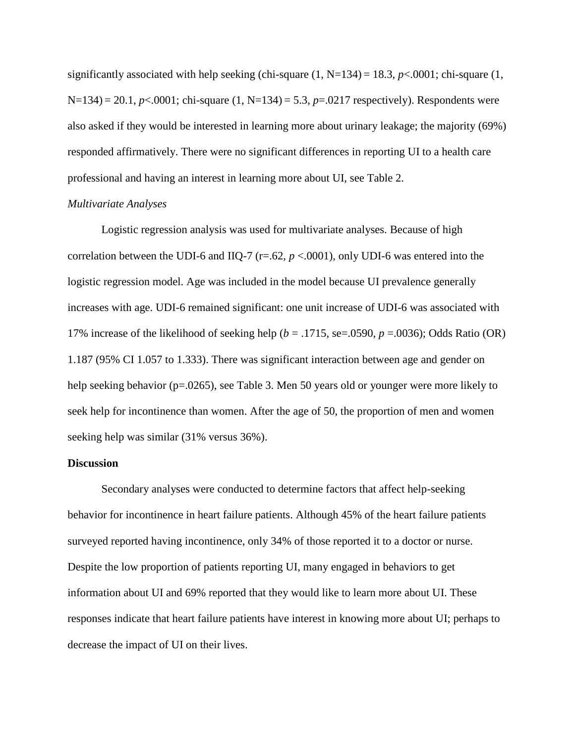significantly associated with help seeking (chi-square  $(1, N=134) = 18.3, p<0.001$ ; chi-square  $(1,$ N=134) = 20.1, *p*<.0001; chi-square (1, N=134) = 5.3, *p*=.0217 respectively). Respondents were also asked if they would be interested in learning more about urinary leakage; the majority (69%) responded affirmatively. There were no significant differences in reporting UI to a health care professional and having an interest in learning more about UI, see Table 2.

## *Multivariate Analyses*

Logistic regression analysis was used for multivariate analyses. Because of high correlation between the UDI-6 and IIQ-7 ( $r=.62$ ,  $p < .0001$ ), only UDI-6 was entered into the logistic regression model. Age was included in the model because UI prevalence generally increases with age. UDI-6 remained significant: one unit increase of UDI-6 was associated with 17% increase of the likelihood of seeking help (*b* = .1715, se=.0590, *p* =.0036); Odds Ratio (OR) 1.187 (95% CI 1.057 to 1.333). There was significant interaction between age and gender on help seeking behavior (p=.0265), see Table 3. Men 50 years old or younger were more likely to seek help for incontinence than women. After the age of 50, the proportion of men and women seeking help was similar (31% versus 36%).

## **Discussion**

Secondary analyses were conducted to determine factors that affect help-seeking behavior for incontinence in heart failure patients. Although 45% of the heart failure patients surveyed reported having incontinence, only 34% of those reported it to a doctor or nurse. Despite the low proportion of patients reporting UI, many engaged in behaviors to get information about UI and 69% reported that they would like to learn more about UI. These responses indicate that heart failure patients have interest in knowing more about UI; perhaps to decrease the impact of UI on their lives.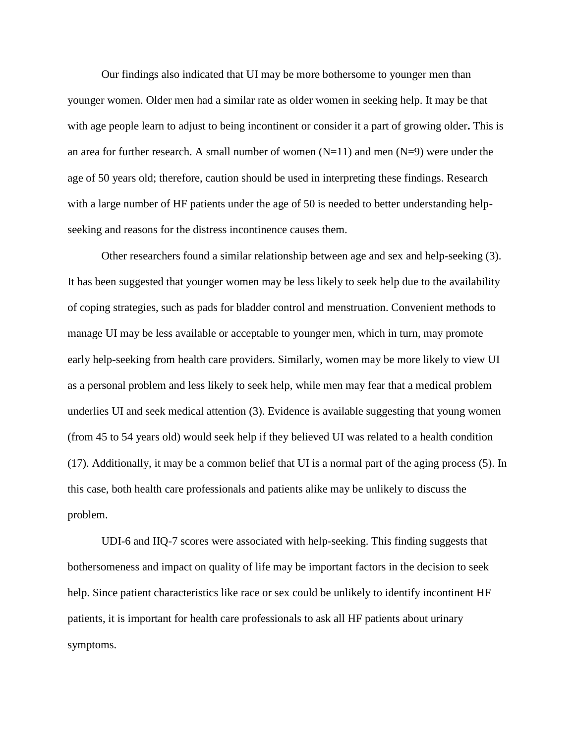Our findings also indicated that UI may be more bothersome to younger men than younger women. Older men had a similar rate as older women in seeking help. It may be that with age people learn to adjust to being incontinent or consider it a part of growing older**.** This is an area for further research. A small number of women  $(N=11)$  and men  $(N=9)$  were under the age of 50 years old; therefore, caution should be used in interpreting these findings. Research with a large number of HF patients under the age of 50 is needed to better understanding helpseeking and reasons for the distress incontinence causes them.

Other researchers found a similar relationship between age and sex and help-seeking (3). It has been suggested that younger women may be less likely to seek help due to the availability of coping strategies, such as pads for bladder control and menstruation. Convenient methods to manage UI may be less available or acceptable to younger men, which in turn, may promote early help-seeking from health care providers. Similarly, women may be more likely to view UI as a personal problem and less likely to seek help, while men may fear that a medical problem underlies UI and seek medical attention (3). Evidence is available suggesting that young women (from 45 to 54 years old) would seek help if they believed UI was related to a health condition (17). Additionally, it may be a common belief that UI is a normal part of the aging process (5). In this case, both health care professionals and patients alike may be unlikely to discuss the problem.

UDI-6 and IIQ-7 scores were associated with help-seeking. This finding suggests that bothersomeness and impact on quality of life may be important factors in the decision to seek help. Since patient characteristics like race or sex could be unlikely to identify incontinent HF patients, it is important for health care professionals to ask all HF patients about urinary symptoms.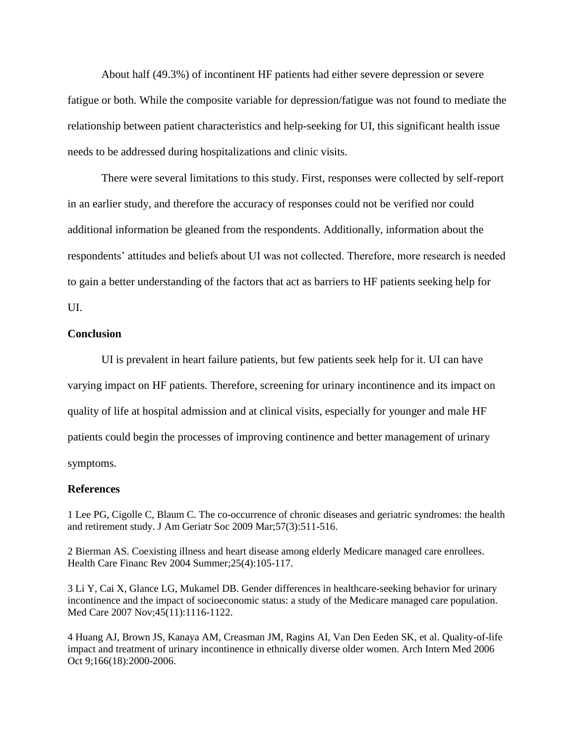About half (49.3%) of incontinent HF patients had either severe depression or severe fatigue or both. While the composite variable for depression/fatigue was not found to mediate the relationship between patient characteristics and help-seeking for UI, this significant health issue needs to be addressed during hospitalizations and clinic visits.

There were several limitations to this study. First, responses were collected by self-report in an earlier study, and therefore the accuracy of responses could not be verified nor could additional information be gleaned from the respondents. Additionally, information about the respondents' attitudes and beliefs about UI was not collected. Therefore, more research is needed to gain a better understanding of the factors that act as barriers to HF patients seeking help for UI.

## **Conclusion**

UI is prevalent in heart failure patients, but few patients seek help for it. UI can have varying impact on HF patients. Therefore, screening for urinary incontinence and its impact on quality of life at hospital admission and at clinical visits, especially for younger and male HF patients could begin the processes of improving continence and better management of urinary symptoms.

#### **References**

1 Lee PG, Cigolle C, Blaum C. The co-occurrence of chronic diseases and geriatric syndromes: the health and retirement study. J Am Geriatr Soc 2009 Mar;57(3):511-516.

2 Bierman AS. Coexisting illness and heart disease among elderly Medicare managed care enrollees. Health Care Financ Rev 2004 Summer;25(4):105-117.

3 Li Y, Cai X, Glance LG, Mukamel DB. Gender differences in healthcare-seeking behavior for urinary incontinence and the impact of socioeconomic status: a study of the Medicare managed care population. Med Care 2007 Nov;45(11):1116-1122.

4 Huang AJ, Brown JS, Kanaya AM, Creasman JM, Ragins AI, Van Den Eeden SK, et al. Quality-of-life impact and treatment of urinary incontinence in ethnically diverse older women. Arch Intern Med 2006 Oct 9;166(18):2000-2006.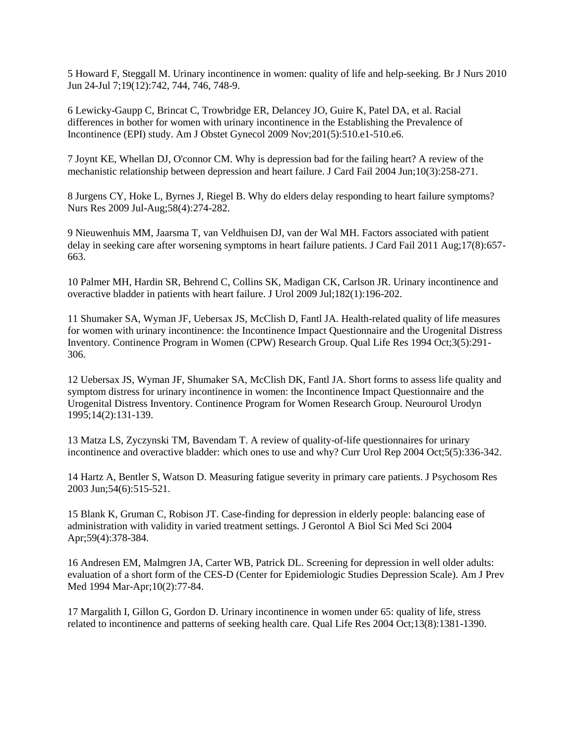5 Howard F, Steggall M. Urinary incontinence in women: quality of life and help-seeking. Br J Nurs 2010 Jun 24-Jul 7;19(12):742, 744, 746, 748-9.

6 Lewicky-Gaupp C, Brincat C, Trowbridge ER, Delancey JO, Guire K, Patel DA, et al. Racial differences in bother for women with urinary incontinence in the Establishing the Prevalence of Incontinence (EPI) study. Am J Obstet Gynecol 2009 Nov;201(5):510.e1-510.e6.

7 Joynt KE, Whellan DJ, O'connor CM. Why is depression bad for the failing heart? A review of the mechanistic relationship between depression and heart failure. J Card Fail 2004 Jun;10(3):258-271.

8 Jurgens CY, Hoke L, Byrnes J, Riegel B. Why do elders delay responding to heart failure symptoms? Nurs Res 2009 Jul-Aug;58(4):274-282.

9 Nieuwenhuis MM, Jaarsma T, van Veldhuisen DJ, van der Wal MH. Factors associated with patient delay in seeking care after worsening symptoms in heart failure patients. J Card Fail 2011 Aug;17(8):657- 663.

10 Palmer MH, Hardin SR, Behrend C, Collins SK, Madigan CK, Carlson JR. Urinary incontinence and overactive bladder in patients with heart failure. J Urol 2009 Jul;182(1):196-202.

11 Shumaker SA, Wyman JF, Uebersax JS, McClish D, Fantl JA. Health-related quality of life measures for women with urinary incontinence: the Incontinence Impact Questionnaire and the Urogenital Distress Inventory. Continence Program in Women (CPW) Research Group. Qual Life Res 1994 Oct;3(5):291- 306.

12 Uebersax JS, Wyman JF, Shumaker SA, McClish DK, Fantl JA. Short forms to assess life quality and symptom distress for urinary incontinence in women: the Incontinence Impact Questionnaire and the Urogenital Distress Inventory. Continence Program for Women Research Group. Neurourol Urodyn 1995;14(2):131-139.

13 Matza LS, Zyczynski TM, Bavendam T. A review of quality-of-life questionnaires for urinary incontinence and overactive bladder: which ones to use and why? Curr Urol Rep 2004 Oct;5(5):336-342.

14 Hartz A, Bentler S, Watson D. Measuring fatigue severity in primary care patients. J Psychosom Res 2003 Jun;54(6):515-521.

15 Blank K, Gruman C, Robison JT. Case-finding for depression in elderly people: balancing ease of administration with validity in varied treatment settings. J Gerontol A Biol Sci Med Sci 2004 Apr;59(4):378-384.

16 Andresen EM, Malmgren JA, Carter WB, Patrick DL. Screening for depression in well older adults: evaluation of a short form of the CES-D (Center for Epidemiologic Studies Depression Scale). Am J Prev Med 1994 Mar-Apr;10(2):77-84.

17 Margalith I, Gillon G, Gordon D. Urinary incontinence in women under 65: quality of life, stress related to incontinence and patterns of seeking health care. Qual Life Res 2004 Oct;13(8):1381-1390.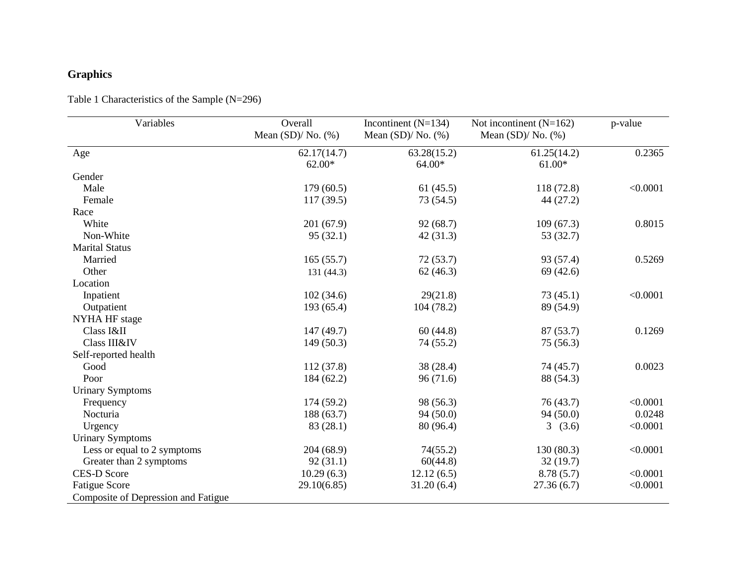# **Graphics**

Table 1 Characteristics of the Sample (N=296)

| Variables                           | Overall             | Incontinent $(N=134)$ | Not incontinent $(N=162)$ | p-value  |
|-------------------------------------|---------------------|-----------------------|---------------------------|----------|
|                                     | Mean $(SD)/No.$ (%) | Mean $(SD)/No.$ (%)   | Mean $(SD)/No.$ (%)       |          |
| Age                                 | 62.17(14.7)         | 63.28(15.2)           | 61.25(14.2)               | 0.2365   |
|                                     | $62.00*$            | 64.00*                | $61.00*$                  |          |
| Gender                              |                     |                       |                           |          |
| Male                                | 179(60.5)           | 61(45.5)              | 118 (72.8)                | < 0.0001 |
| Female                              | 117(39.5)           | 73 (54.5)             | 44 (27.2)                 |          |
| Race                                |                     |                       |                           |          |
| White                               | 201 (67.9)          | 92(68.7)              | 109(67.3)                 | 0.8015   |
| Non-White                           | 95(32.1)            | 42(31.3)              | 53 (32.7)                 |          |
| <b>Marital Status</b>               |                     |                       |                           |          |
| Married                             | 165(55.7)           | 72(53.7)              | 93 (57.4)                 | 0.5269   |
| Other                               | 131 (44.3)          | 62(46.3)              | 69(42.6)                  |          |
| Location                            |                     |                       |                           |          |
| Inpatient                           | 102(34.6)           | 29(21.8)              | 73(45.1)                  | < 0.0001 |
| Outpatient                          | 193 (65.4)          | 104 (78.2)            | 89 (54.9)                 |          |
| NYHA HF stage                       |                     |                       |                           |          |
| Class I&II                          | 147 (49.7)          | 60(44.8)              | 87(53.7)                  | 0.1269   |
| Class III&IV                        | 149(50.3)           | 74(55.2)              | 75(56.3)                  |          |
| Self-reported health                |                     |                       |                           |          |
| Good                                | 112(37.8)           | 38 (28.4)             | 74 (45.7)                 | 0.0023   |
| Poor                                | 184 (62.2)          | 96(71.6)              | 88 (54.3)                 |          |
| <b>Urinary Symptoms</b>             |                     |                       |                           |          |
| Frequency                           | 174 (59.2)          | 98 (56.3)             | 76(43.7)                  | < 0.0001 |
| Nocturia                            | 188 (63.7)          | 94 (50.0)             | 94 (50.0)                 | 0.0248   |
| Urgency                             | 83 (28.1)           | 80 (96.4)             | 3(3.6)                    | < 0.0001 |
| <b>Urinary Symptoms</b>             |                     |                       |                           |          |
| Less or equal to 2 symptoms         | 204 (68.9)          | 74(55.2)              | 130(80.3)                 | < 0.0001 |
| Greater than 2 symptoms             | 92(31.1)            | 60(44.8)              | 32(19.7)                  |          |
| <b>CES-D Score</b>                  | 10.29(6.3)          | 12.12(6.5)            | 8.78(5.7)                 | < 0.0001 |
| <b>Fatigue Score</b>                | 29.10(6.85)         | 31.20(6.4)            | 27.36(6.7)                | < 0.0001 |
| Composite of Depression and Fatigue |                     |                       |                           |          |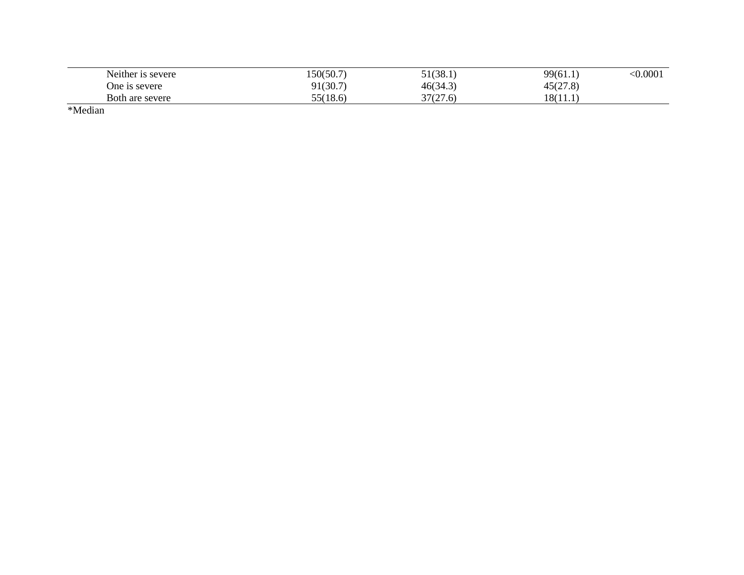| Neither is severe | 150(50.7) | 51(38.1) | 99(61.1) | < 0.0001 |
|-------------------|-----------|----------|----------|----------|
| One is severe     | 91(30.7)  | 46(34.3) | 45(27.8) |          |
| Both are severe   | 55(18.6)  | 37(27.6) | 18(11.1) |          |

\*Median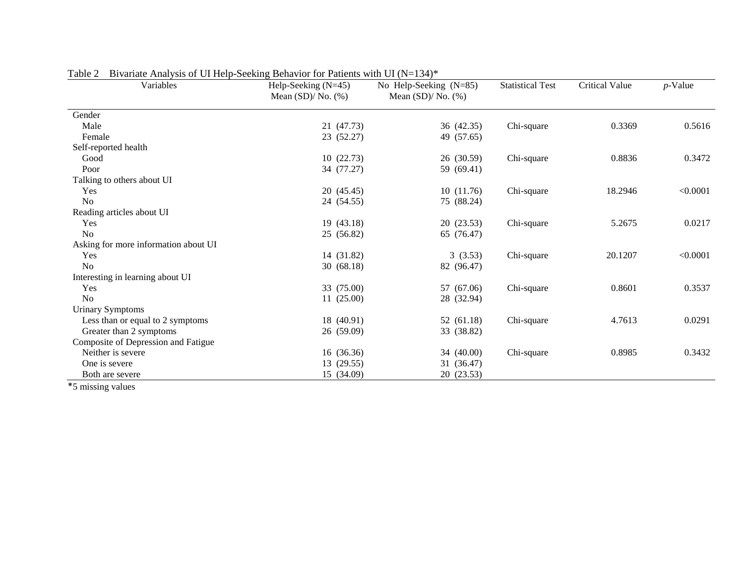| Variables                            | Help-Seeking (N=45)<br>Mean $(SD)/No.$ (%) | No Help-Seeking $(N=85)$<br>Mean $(SD)/No.$ (%) | <b>Statistical Test</b> | Critical Value | $p$ -Value |
|--------------------------------------|--------------------------------------------|-------------------------------------------------|-------------------------|----------------|------------|
| Gender                               |                                            |                                                 |                         |                |            |
| Male                                 | 21 (47.73)                                 | 36 (42.35)                                      | Chi-square              | 0.3369         | 0.5616     |
| Female                               | 23 (52.27)                                 | 49 (57.65)                                      |                         |                |            |
| Self-reported health                 |                                            |                                                 |                         |                |            |
| Good                                 | 10(22.73)                                  | 26 (30.59)                                      | Chi-square              | 0.8836         | 0.3472     |
| Poor                                 | 34 (77.27)                                 | 59 (69.41)                                      |                         |                |            |
| Talking to others about UI           |                                            |                                                 |                         |                |            |
| Yes                                  | 20 (45.45)                                 | 10(11.76)                                       | Chi-square              | 18.2946        | < 0.0001   |
| N <sub>o</sub>                       | 24 (54.55)                                 | 75 (88.24)                                      |                         |                |            |
| Reading articles about UI            |                                            |                                                 |                         |                |            |
| Yes                                  | 19 (43.18)                                 | 20 (23.53)                                      | Chi-square              | 5.2675         | 0.0217     |
| N <sub>0</sub>                       | 25 (56.82)                                 | 65 (76.47)                                      |                         |                |            |
| Asking for more information about UI |                                            |                                                 |                         |                |            |
| Yes                                  | 14 (31.82)                                 | 3(3.53)                                         | Chi-square              | 20.1207        | < 0.0001   |
| N <sub>o</sub>                       | 30(68.18)                                  | 82 (96.47)                                      |                         |                |            |
| Interesting in learning about UI     |                                            |                                                 |                         |                |            |
| Yes                                  | 33 (75.00)                                 | 57 (67.06)                                      | Chi-square              | 0.8601         | 0.3537     |
| N <sub>o</sub>                       | 11(25.00)                                  | 28 (32.94)                                      |                         |                |            |
| <b>Urinary Symptoms</b>              |                                            |                                                 |                         |                |            |
| Less than or equal to 2 symptoms     | 18 (40.91)                                 | 52 (61.18)                                      | Chi-square              | 4.7613         | 0.0291     |
| Greater than 2 symptoms              | 26 (59.09)                                 | 33 (38.82)                                      |                         |                |            |
| Composite of Depression and Fatigue  |                                            |                                                 |                         |                |            |
| Neither is severe                    | 16 (36.36)                                 | 34 (40.00)                                      | Chi-square              | 0.8985         | 0.3432     |
| One is severe                        | 13 (29.55)                                 | 31 (36.47)                                      |                         |                |            |
| Both are severe                      | 15 (34.09)                                 | 20 (23.53)                                      |                         |                |            |

Table 2 Bivariate Analysis of UI Help-Seeking Behavior for Patients with UI (N=134)\*

\*5 missing values